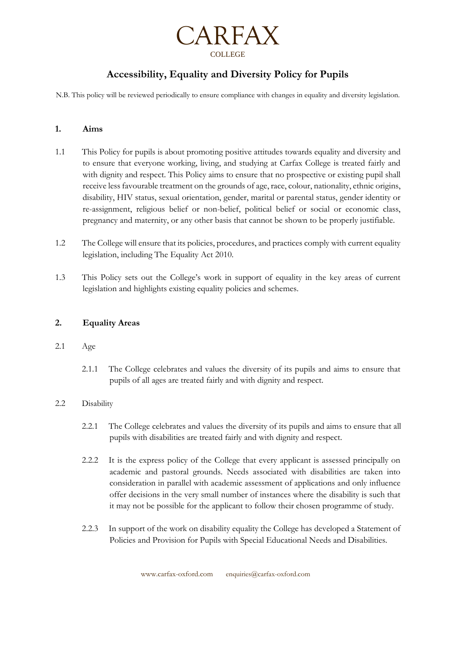

# **Accessibility, Equality and Diversity Policy for Pupils**

N.B. This policy will be reviewed periodically to ensure compliance with changes in equality and diversity legislation.

# **1. Aims**

- 1.1 This Policy for pupils is about promoting positive attitudes towards equality and diversity and to ensure that everyone working, living, and studying at Carfax College is treated fairly and with dignity and respect. This Policy aims to ensure that no prospective or existing pupil shall receive less favourable treatment on the grounds of age, race, colour, nationality, ethnic origins, disability, HIV status, sexual orientation, gender, marital or parental status, gender identity or re-assignment, religious belief or non-belief, political belief or social or economic class, pregnancy and maternity, or any other basis that cannot be shown to be properly justifiable.
- 1.2 The College will ensure that its policies, procedures, and practices comply with current equality legislation, including The Equality Act 2010.
- 1.3 This Policy sets out the College's work in support of equality in the key areas of current legislation and highlights existing equality policies and schemes.

# **2. Equality Areas**

#### 2.1 Age

2.1.1 The College celebrates and values the diversity of its pupils and aims to ensure that pupils of all ages are treated fairly and with dignity and respect.

# 2.2 Disability

- 2.2.1 The College celebrates and values the diversity of its pupils and aims to ensure that all pupils with disabilities are treated fairly and with dignity and respect.
- 2.2.2 It is the express policy of the College that every applicant is assessed principally on academic and pastoral grounds. Needs associated with disabilities are taken into consideration in parallel with academic assessment of applications and only influence offer decisions in the very small number of instances where the disability is such that it may not be possible for the applicant to follow their chosen programme of study.
- 2.2.3 In support of the work on disability equality the College has developed a Statement of Policies and Provision for Pupils with Special Educational Needs and Disabilities.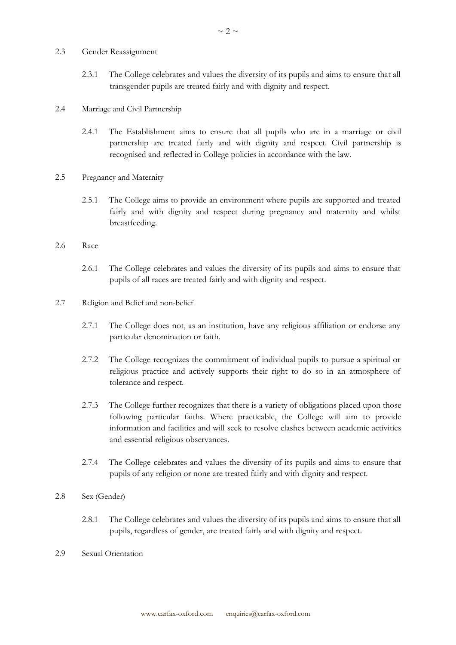- 2.3 Gender Reassignment
	- 2.3.1 The College celebrates and values the diversity of its pupils and aims to ensure that all transgender pupils are treated fairly and with dignity and respect.
- 2.4 Marriage and Civil Partnership
	- 2.4.1 The Establishment aims to ensure that all pupils who are in a marriage or civil partnership are treated fairly and with dignity and respect. Civil partnership is recognised and reflected in College policies in accordance with the law.
- 2.5 Pregnancy and Maternity
	- 2.5.1 The College aims to provide an environment where pupils are supported and treated fairly and with dignity and respect during pregnancy and maternity and whilst breastfeeding.
- 2.6 Race
	- 2.6.1 The College celebrates and values the diversity of its pupils and aims to ensure that pupils of all races are treated fairly and with dignity and respect.
- 2.7 Religion and Belief and non-belief
	- 2.7.1 The College does not, as an institution, have any religious affiliation or endorse any particular denomination or faith.
	- 2.7.2 The College recognizes the commitment of individual pupils to pursue a spiritual or religious practice and actively supports their right to do so in an atmosphere of tolerance and respect.
	- 2.7.3 The College further recognizes that there is a variety of obligations placed upon those following particular faiths. Where practicable, the College will aim to provide information and facilities and will seek to resolve clashes between academic activities and essential religious observances.
	- 2.7.4 The College celebrates and values the diversity of its pupils and aims to ensure that pupils of any religion or none are treated fairly and with dignity and respect.
- 2.8 Sex (Gender)
	- 2.8.1 The College celebrates and values the diversity of its pupils and aims to ensure that all pupils, regardless of gender, are treated fairly and with dignity and respect.
- 2.9 Sexual Orientation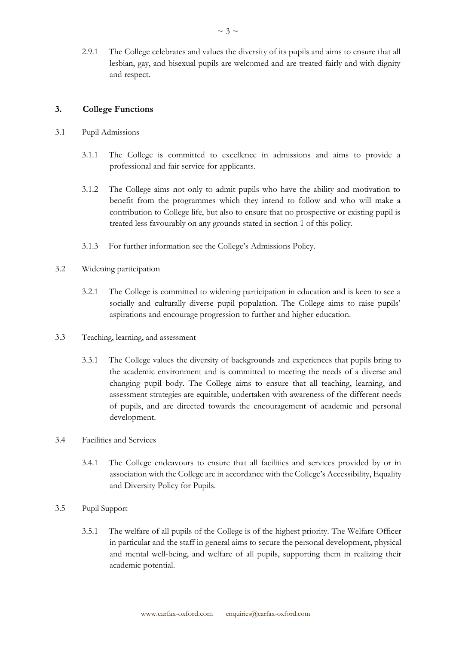2.9.1 The College celebrates and values the diversity of its pupils and aims to ensure that all lesbian, gay, and bisexual pupils are welcomed and are treated fairly and with dignity and respect.

### **3. College Functions**

- 3.1 Pupil Admissions
	- 3.1.1 The College is committed to excellence in admissions and aims to provide a professional and fair service for applicants.
	- 3.1.2 The College aims not only to admit pupils who have the ability and motivation to benefit from the programmes which they intend to follow and who will make a contribution to College life, but also to ensure that no prospective or existing pupil is treated less favourably on any grounds stated in section 1 of this policy.
	- 3.1.3 For further information see the College's Admissions Policy.
- 3.2 Widening participation
	- 3.2.1 The College is committed to widening participation in education and is keen to see a socially and culturally diverse pupil population. The College aims to raise pupils' aspirations and encourage progression to further and higher education.
- 3.3 Teaching, learning, and assessment
	- 3.3.1 The College values the diversity of backgrounds and experiences that pupils bring to the academic environment and is committed to meeting the needs of a diverse and changing pupil body. The College aims to ensure that all teaching, learning, and assessment strategies are equitable, undertaken with awareness of the different needs of pupils, and are directed towards the encouragement of academic and personal development.
- 3.4 Facilities and Services
	- 3.4.1 The College endeavours to ensure that all facilities and services provided by or in association with the College are in accordance with the College's Accessibility, Equality and Diversity Policy for Pupils.
- 3.5 Pupil Support
	- 3.5.1 The welfare of all pupils of the College is of the highest priority. The Welfare Officer in particular and the staff in general aims to secure the personal development, physical and mental well-being, and welfare of all pupils, supporting them in realizing their academic potential.